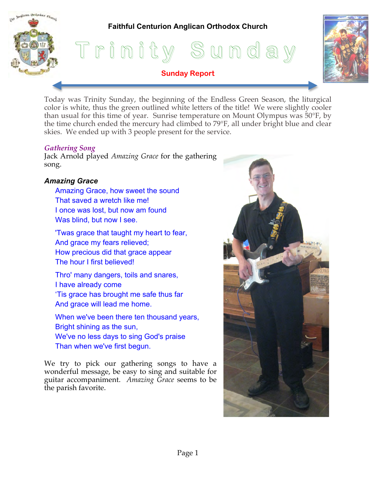# **Faithful Centurion Anglican Orthodox Church**





Today was Trinity Sunday, the beginning of the Endless Green Season, the liturgical color is white, thus the green outlined white letters of the title! We were slightly cooler than usual for this time of year. Sunrise temperature on Mount Olympus was 50°F, by the time church ended the mercury had climbed to 79°F, all under bright blue and clear skies. We ended up with 3 people present for the service.

**Sunday Report**

### *Gathering Song*

malican Orthodox Church

Jack Arnold played *Amazing Grace* for the gathering song.

## *Amazing Grace*

- Amazing Grace, how sweet the sound That saved a wretch like me! I once was lost, but now am found Was blind, but now I see.
- 'Twas grace that taught my heart to fear, And grace my fears relieved; How precious did that grace appear The hour I first believed!
- Thro' many dangers, toils and snares, I have already come 'Tis grace has brought me safe thus far And grace will lead me home.
- When we've been there ten thousand years, Bright shining as the sun, We've no less days to sing God's praise Than when we've first begun.

We try to pick our gathering songs to have a wonderful message, be easy to sing and suitable for guitar accompaniment. *Amazing Grace* seems to be the parish favorite.

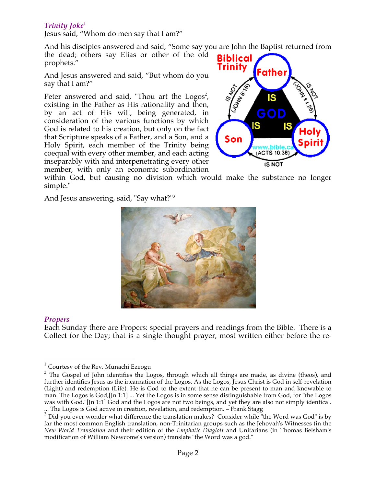## **Trinity Joke**<sup>1</sup>

Jesus said, "Whom do men say that I am?"

And his disciples answered and said, "Some say you are John the Baptist returned from the dead; others say Elias or other of the old **Biblical** prophets."

And Jesus answered and said, "But whom do you say that I am?"

Peter answered and said, "Thou art the  $Logos^2$ , existing in the Father as His rationality and then, by an act of His will, being generated, in consideration of the various functions by which God is related to his creation, but only on the fact that Scripture speaks of a Father, and a Son, and a Holy Spirit, each member of the Trinity being coequal with every other member, and each acting inseparably with and interpenetrating every other member, with only an economic subordination



within God, but causing no division which would make the substance no longer simple."

And Jesus answering, said, "Say what?"3



### *Propers*

Each Sunday there are Propers: special prayers and readings from the Bible. There is a Collect for the Day; that is a single thought prayer, most written either before the re-

 $1$  Courtesy of the Rev. Munachi Ezeogu

<sup>&</sup>lt;sup>2</sup> The Gospel of John identifies the Logos, through which all things are made, as divine (theos), and further identifies Jesus as the incarnation of the Logos. As the Logos, Jesus Christ is God in self-revelation (Light) and redemption (Life). He is God to the extent that he can be present to man and knowable to man. The Logos is God,[Jn 1:1] ... Yet the Logos is in some sense distinguishable from God, for "the Logos was with God."[Jn 1:1] God and the Logos are not two beings, and yet they are also not simply identical. ... The Logos is God active in creation, revelation, and redemption. – Frank Stagg

 $3$  Did you ever wonder what difference the translation makes? Consider while "the Word was God" is by far the most common English translation, non-Trinitarian groups such as the Jehovah's Witnesses (in the *New World Translation* and their edition of the *Emphatic Diaglott* and Unitarians (in Thomas Belsham's modification of William Newcome's version) translate "the Word was a god."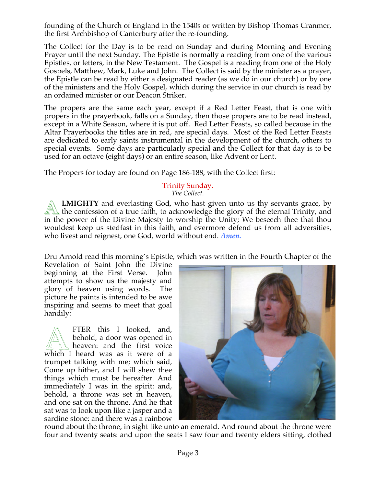founding of the Church of England in the 1540s or written by Bishop Thomas Cranmer, the first Archbishop of Canterbury after the re-founding.

The Collect for the Day is to be read on Sunday and during Morning and Evening Prayer until the next Sunday. The Epistle is normally a reading from one of the various Epistles, or letters, in the New Testament. The Gospel is a reading from one of the Holy Gospels, Matthew, Mark, Luke and John. The Collect is said by the minister as a prayer, the Epistle can be read by either a designated reader (as we do in our church) or by one of the ministers and the Holy Gospel, which during the service in our church is read by an ordained minister or our Deacon Striker.

The propers are the same each year, except if a Red Letter Feast, that is one with propers in the prayerbook, falls on a Sunday, then those propers are to be read instead, except in a White Season, where it is put off. Red Letter Feasts, so called because in the Altar Prayerbooks the titles are in red, are special days. Most of the Red Letter Feasts are dedicated to early saints instrumental in the development of the church, others to special events. Some days are particularly special and the Collect for that day is to be used for an octave (eight days) or an entire season, like Advent or Lent.

The Propers for today are found on Page 186-188, with the Collect first:

# Trinity Sunday.

*The Collect.*

**LMIGHTY** and everlasting God, who hast given unto us thy servants grace, by the confession of a true faith, to acknowledge the glory of the eternal Trinity, and in the power of the Divine Majesty to worship the Unity; We beseech thee that thou wouldest keep us stedfast in this faith, and evermore defend us from all adversities, who livest and reignest, one God, world without end. *Amen.* **A**

Dru Arnold read this morning's Epistle, which was written in the Fourth Chapter of the

Revelation of Saint John the Divine beginning at the First Verse. John attempts to show us the majesty and glory of heaven using words. The picture he paints is intended to be awe inspiring and seems to meet that goal handily:

FTER this I looked, and, behold, a door was opened in heaven: and the first voice FTER this I looked, and, behold, a door was opened in heaven: and the first voice which I heard was as it were of a trumpet talking with me; which said, Come up hither, and I will shew thee things which must be hereafter. And immediately I was in the spirit: and, behold, a throne was set in heaven, and one sat on the throne. And he that sat was to look upon like a jasper and a sardine stone: and there was a rainbow



round about the throne, in sight like unto an emerald. And round about the throne were four and twenty seats: and upon the seats I saw four and twenty elders sitting, clothed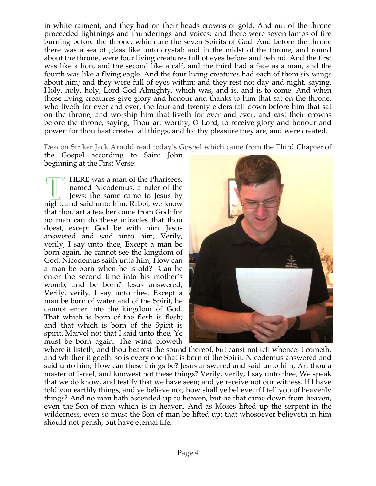in white raiment; and they had on their heads crowns of gold. And out of the throne proceeded lightnings and thunderings and voices: and there were seven lamps of fire burning before the throne, which are the seven Spirits of God. And before the throne there was a sea of glass like unto crystal: and in the midst of the throne, and round about the throne, were four living creatures full of eyes before and behind. And the first was like a lion, and the second like a calf, and the third had a face as a man, and the fourth was like a flying eagle. And the four living creatures had each of them six wings about him; and they were full of eyes within: and they rest not day and night, saying, Holy, holy, holy, Lord God Almighty, which was, and is, and is to come. And when those living creatures give glory and honour and thanks to him that sat on the throne, who liveth for ever and ever, the four and twenty elders fall down before him that sat on the throne, and worship him that liveth for ever and ever, and cast their crowns before the throne, saying, Thou art worthy, O Lord, to receive glory and honour and power: for thou hast created all things, and for thy pleasure they are, and were created.

Deacon Striker Jack Arnold read today's Gospel which came from the Third Chapter of

the Gospel according to Saint John beginning at the First Verse:

 $\Box$  HERE was a man of the Pharisees, named Nicodemus, a ruler of the Jews: the same came to Jesus by **THERE was a man of the Pharisees,<br>named Nicodemus, a ruler of the<br>Jews: the same came to Jesus by<br>night, and said unto him, Rabbi, we know** that thou art a teacher come from God: for no man can do these miracles that thou doest, except God be with him. Jesus answered and said unto him, Verily, verily, I say unto thee, Except a man be born again, he cannot see the kingdom of God. Nicodemus saith unto him, How can a man be born when he is old? Can he enter the second time into his mother's womb, and be born? Jesus answered, Verily, verily, I say unto thee, Except a man be born of water and of the Spirit, he cannot enter into the kingdom of God. That which is born of the flesh is flesh; and that which is born of the Spirit is spirit. Marvel not that I said unto thee, Ye must be born again. The wind bloweth



where it listeth, and thou hearest the sound thereof, but canst not tell whence it cometh, and whither it goeth: so is every one that is born of the Spirit. Nicodemus answered and said unto him, How can these things be? Jesus answered and said unto him, Art thou a master of Israel, and knowest not these things? Verily, verily, I say unto thee, We speak that we do know, and testify that we have seen; and ye receive not our witness. If I have told you earthly things, and ye believe not, how shall ye believe, if I tell you of heavenly things? And no man hath ascended up to heaven, but he that came down from heaven, even the Son of man which is in heaven. And as Moses lifted up the serpent in the wilderness, even so must the Son of man be lifted up: that whosoever believeth in him should not perish, but have eternal life.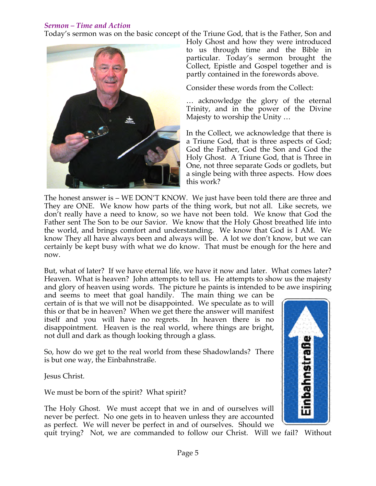## *Sermon – Time and Action*

Today's sermon was on the basic concept of the Triune God, that is the Father, Son and



Holy Ghost and how they were introduced to us through time and the Bible in particular. Today's sermon brought the Collect, Epistle and Gospel together and is partly contained in the forewords above.

Consider these words from the Collect:

… acknowledge the glory of the eternal Trinity, and in the power of the Divine Majesty to worship the Unity …

In the Collect, we acknowledge that there is a Triune God, that is three aspects of God; God the Father, God the Son and God the Holy Ghost. A Triune God, that is Three in One, not three separate Gods or godlets, but a single being with three aspects. How does this work?

The honest answer is – WE DON'T KNOW. We just have been told there are three and They are ONE. We know how parts of the thing work, but not all. Like secrets, we don't really have a need to know, so we have not been told. We know that God the Father sent The Son to be our Savior. We know that the Holy Ghost breathed life into the world, and brings comfort and understanding. We know that God is I AM. We know They all have always been and always will be. A lot we don't know, but we can certainly be kept busy with what we do know. That must be enough for the here and now.

But, what of later? If we have eternal life, we have it now and later. What comes later? Heaven. What is heaven? John attempts to tell us. He attempts to show us the majesty and glory of heaven using words. The picture he paints is intended to be awe inspiring

and seems to meet that goal handily. The main thing we can be certain of is that we will not be disappointed. We speculate as to will this or that be in heaven? When we get there the answer will manifest itself and you will have no regrets. In heaven there is no disappointment. Heaven is the real world, where things are bright, not dull and dark as though looking through a glass.

So, how do we get to the real world from these Shadowlands? There is but one way, the Einbahnstraße.

Jesus Christ.

We must be born of the spirit? What spirit?

The Holy Ghost. We must accept that we in and of ourselves will never be perfect. No one gets in to heaven unless they are accounted as perfect. We will never be perfect in and of ourselves. Should we

quit trying? Not, we are commanded to follow our Christ. Will we fail? Without

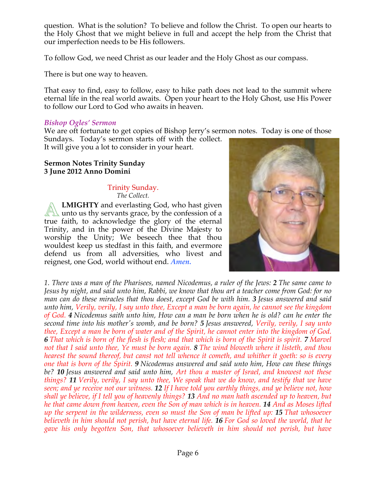question. What is the solution? To believe and follow the Christ. To open our hearts to the Holy Ghost that we might believe in full and accept the help from the Christ that our imperfection needs to be His followers.

To follow God, we need Christ as our leader and the Holy Ghost as our compass.

There is but one way to heaven.

That easy to find, easy to follow, easy to hike path does not lead to the summit where eternal life in the real world awaits. Open your heart to the Holy Ghost, use His Power to follow our Lord to God who awaits in heaven.

### *Bishop Ogles' Sermon*

We are oft fortunate to get copies of Bishop Jerry's sermon notes. Today is one of those Sundays. Today's sermon starts off with the collect.

It will give you a lot to consider in your heart.

#### **Sermon Notes Trinity Sunday 3 June 2012 Anno Domini**

#### Trinity Sunday. *The Collect.*

**LMIGHTY** and everlasting God, who hast given unto us thy servants grace, by the confession of a true faith, to acknowledge the glory of the eternal Trinity, and in the power of the Divine Majesty to worship the Unity; We beseech thee that thou wouldest keep us stedfast in this faith, and evermore defend us from all adversities, who livest and reignest, one God, world without end. *Amen.* **A**



*1. There was a man of the Pharisees, named Nicodemus, a ruler of the Jews: 2 The same came to Jesus by night, and said unto him, Rabbi, we know that thou art a teacher come from God: for no man can do these miracles that thou doest, except God be with him. 3 Jesus answered and said unto him, Verily, verily, I say unto thee, Except a man be born again, he cannot see the kingdom of God. 4 Nicodemus saith unto him, How can a man be born when he is old? can he enter the second time into his mother's womb, and be born? 5 Jesus answered, Verily, verily, I say unto thee, Except a man be born of water and of the Spirit, he cannot enter into the kingdom of God. 6 That which is born of the flesh is flesh; and that which is born of the Spirit is spirit. 7 Marvel not that I said unto thee, Ye must be born again. 8 The wind bloweth where it listeth, and thou hearest the sound thereof, but canst not tell whence it cometh, and whither it goeth: so is every one that is born of the Spirit. 9 Nicodemus answered and said unto him, How can these things be? 10 Jesus answered and said unto him, Art thou a master of Israel, and knowest not these things? 11 Verily, verily, I say unto thee, We speak that we do know, and testify that we have seen; and ye receive not our witness. 12 If I have told you earthly things, and ye believe not, how shall ye believe, if I tell you of heavenly things? 13 And no man hath ascended up to heaven, but he that came down from heaven, even the Son of man which is in heaven. 14 And as Moses lifted up the serpent in the wilderness, even so must the Son of man be lifted up: 15 That whosoever believeth in him should not perish, but have eternal life. 16 For God so loved the world, that he gave his only begotten Son, that whosoever believeth in him should not perish, but have*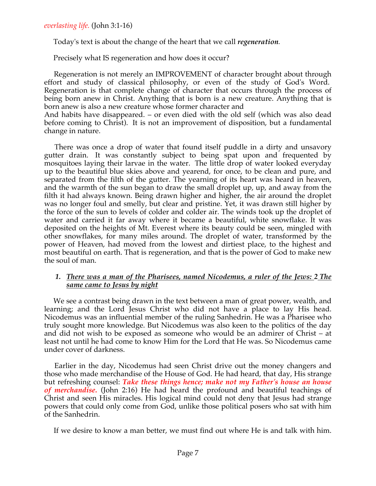Today's text is about the change of the heart that we call *regeneration.*

Precisely what IS regeneration and how does it occur?

 Regeneration is not merely an IMPROVEMENT of character brought about through effort and study of classical philosophy, or even of the study of God's Word. Regeneration is that complete change of character that occurs through the process of being born anew in Christ. Anything that is born is a new creature. Anything that is born anew is also a new creature whose former character and

And habits have disappeared. – or even died with the old self (which was also dead before coming to Christ). It is not an improvement of disposition, but a fundamental change in nature.

 There was once a drop of water that found itself puddle in a dirty and unsavory gutter drain. It was constantly subject to being spat upon and frequented by mosquitoes laying their larvae in the water. The little drop of water looked everyday up to the beautiful blue skies above and yearend, for once, to be clean and pure, and separated from the filth of the gutter. The yearning of its heart was heard in heaven, and the warmth of the sun began to draw the small droplet up, up, and away from the filth it had always known. Being drawn higher and higher, the air around the droplet was no longer foul and smelly, but clear and pristine. Yet, it was drawn still higher by the force of the sun to levels of colder and colder air. The winds took up the droplet of water and carried it far away where it became a beautiful, white snowflake. It was deposited on the heights of Mt. Everest where its beauty could be seen, mingled with other snowflakes, for many miles around. The droplet of water, transformed by the power of Heaven, had moved from the lowest and dirtiest place, to the highest and most beautiful on earth. That is regeneration, and that is the power of God to make new the soul of man.

### *1. There was a man of the Pharisees, named Nicodemus, a ruler of the Jews: 2 The same came to Jesus by night*

 We see a contrast being drawn in the text between a man of great power, wealth, and learning; and the Lord Jesus Christ who did not have a place to lay His head. Nicodemus was an influential member of the ruling Sanhedrin. He was a Pharisee who truly sought more knowledge. But Nicodemus was also keen to the politics of the day and did not wish to be exposed as someone who would be an admirer of Christ – at least not until he had come to know Him for the Lord that He was. So Nicodemus came under cover of darkness.

 Earlier in the day, Nicodemus had seen Christ drive out the money changers and those who made merchandise of the House of God. He had heard, that day, His strange but refreshing counsel: *Take these things hence; make not my Father's house an house of merchandise.* (John 2:16) He had heard the profound and beautiful teachings of Christ and seen His miracles. His logical mind could not deny that Jesus had strange powers that could only come from God, unlike those political posers who sat with him of the Sanhedrin.

If we desire to know a man better, we must find out where He is and talk with him.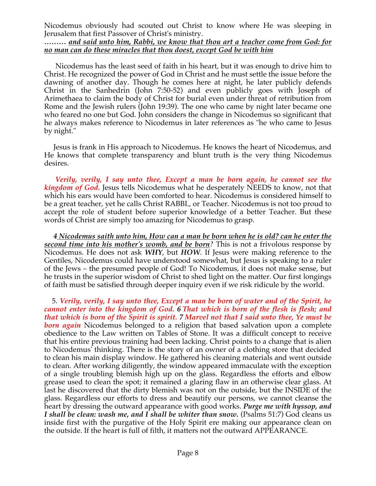Nicodemus obviously had scouted out Christ to know where He was sleeping in Jerusalem that first Passover of Christ's ministry.

### *……… and said unto him, Rabbi, we know that thou art a teacher come from God: for no man can do these miracles that thou doest, except God be with him*

 Nicodemus has the least seed of faith in his heart, but it was enough to drive him to Christ. He recognized the power of God in Christ and he must settle the issue before the dawning of another day. Though he comes here at night, he later publicly defends Christ in the Sanhedrin (John 7:50-52) and even publicly goes with Joseph of Arimethaea to claim the body of Christ for burial even under threat of retribution from Rome and the Jewish rulers (John 19:39). The one who came by night later became one who feared no one but God. John considers the change in Nicodemus so significant that he always makes reference to Nicodemus in later references as "he who came to Jesus by night."

 Jesus is frank in His approach to Nicodemus. He knows the heart of Nicodemus, and He knows that complete transparency and blunt truth is the very thing Nicodemus desires.

 *Verily, verily, I say unto thee, Except a man be born again, he cannot see the kingdom of God.* Jesus tells Nicodemus what he desperately NEEDS to know, not that which his ears would have been comforted to hear. Nicodemus is considered himself to be a great teacher, yet he calls Christ RABBI., or Teacher. Nicodemus is not too proud to accept the role of student before superior knowledge of a better Teacher. But these words of Christ are simply too amazing for Nicodemus to grasp.

*4 Nicodemus saith unto him, How can a man be born when he is old? can he enter the second time into his mother's womb, and be born?* This is not a frivolous response by Nicodemus. He does not ask *WHY*, but *HOW*. If Jesus were making reference to the Gentiles, Nicodemus could have understood somewhat, but Jesus is speaking to a ruler of the Jews – the presumed people of God! To Nicodemus, it does not make sense, but he trusts in the superior wisdom of Christ to shed light on the matter. Our first longings of faith must be satisfied through deeper inquiry even if we risk ridicule by the world.

 5. *Verily, verily, I say unto thee, Except a man be born of water and of the Spirit, he cannot enter into the kingdom of God. 6 That which is born of the flesh is flesh; and that which is born of the Spirit is spirit. 7 Marvel not that I said unto thee, Ye must be born again* Nicodemus belonged to a religion that based salvation upon a complete obedience to the Law written on Tables of Stone. It was a difficult concept to receive that his entire previous training had been lacking. Christ points to a change that is alien to Nicodemus' thinking. There is the story of an owner of a clothing store that decided to clean his main display window. He gathered his cleaning materials and went outside to clean. After working diligently, the window appeared immaculate with the exception of a single troubling blemish high up on the glass. Regardless the efforts and elbow grease used to clean the spot; it remained a glaring flaw in an otherwise clear glass. At last he discovered that the dirty blemish was not on the outside, but the INSIDE of the glass. Regardless our efforts to dress and beautify our persons, we cannot cleanse the heart by dressing the outward appearance with good works. *Purge me with hyssop, and I shall be clean: wash me, and I shall be whiter than snow.* (Psalms 51:7) God cleans us inside first with the purgative of the Holy Spirit ere making our appearance clean on the outside. If the heart is full of filth, it matters not the outward APPEARANCE.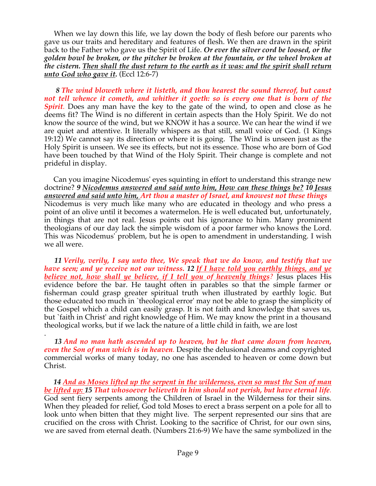When we lay down this life, we lay down the body of flesh before our parents who gave us our traits and hereditary and features of flesh. We then are drawn in the spirit back to the Father who gave us the Spirit of Life. *Or ever the silver cord be loosed, or the golden bowl be broken, or the pitcher be broken at the fountain, or the wheel broken at the cistern. Then shall the dust return to the earth as it was: and the spirit shall return unto God who gave it.* (Eccl 12:6-7)

 *8 The wind bloweth where it listeth, and thou hearest the sound thereof, but canst not tell whence it cometh, and whither it goeth: so is every one that is born of the Spirit.* Does any man have the key to the gate of the wind, to open and close as he deems fit? The Wind is no different in certain aspects than the Holy Spirit. We do not know the source of the wind, but we KNOW it has a source. We can hear the wind if we are quiet and attentive. It literally whispers as that still, small voice of God. (1 Kings 19:12) We cannot say its direction or where it is going. The Wind is unseen just as the Holy Spirit is unseen. We see its effects, but not its essence. Those who are born of God have been touched by that Wind of the Holy Spirit. Their change is complete and not prideful in display.

 Can you imagine Nicodemus' eyes squinting in effort to understand this strange new doctrine? *9 Nicodemus answered and said unto him, How can these things be? 10 Jesus answered and said unto him, Art thou a master of Israel, and knowest not these things* Nicodemus is very much like many who are educated in theology and who press a point of an olive until it becomes a watermelon. He is well educated but, unfortunately, in things that are not real. Jesus points out his ignorance to him. Many prominent theologians of our day lack the simple wisdom of a poor farmer who knows the Lord. This was Nicodemus' problem, but he is open to amendment in understanding. I wish we all were.

 *11 Verily, verily, I say unto thee, We speak that we do know, and testify that we have seen; and ye receive not our witness. 12 If I have told you earthly things, and ye believe not, how shall ye believe, if I tell you of heavenly things?* Jesus places His evidence before the bar. He taught often in parables so that the simple farmer or fisherman could grasp greater spiritual truth when illustrated by earthly logic. But those educated too much in `theological error' may not be able to grasp the simplicity of the Gospel which a child can easily grasp. It is not faith and knowledge that saves us, but `faith in Christ' and right knowledge of Him. We may know the print in a thousand theological works, but if we lack the nature of a little child in faith, we are lost

. *13 And no man hath ascended up to heaven, but he that came down from heaven, even the Son of man which is in heaven.* Despite the delusional dreams and copyrighted commercial works of many today, no one has ascended to heaven or come down but Christ.

 *14 And as Moses lifted up the serpent in the wilderness, even so must the Son of man be lifted up: 15 That whosoever believeth in him should not perish, but have eternal life.* God sent fiery serpents among the Children of Israel in the Wilderness for their sins. When they pleaded for relief, God told Moses to erect a brass serpent on a pole for all to look unto when bitten that they might live. The serpent represented our sins that are crucified on the cross with Christ. Looking to the sacrifice of Christ, for our own sins, we are saved from eternal death. (Numbers 21:6-9) We have the same symbolized in the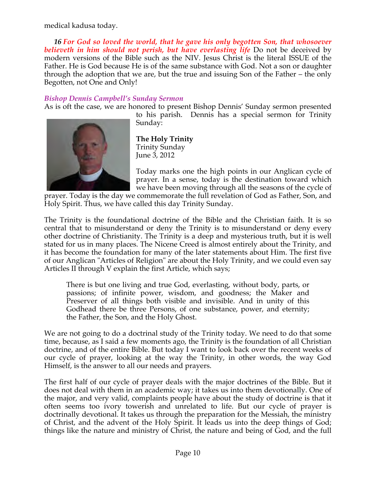medical kadusa today.

 *16 For God so loved the world, that he gave his only begotten Son, that whosoever believeth in him should not perish, but have everlasting life* Do not be deceived by modern versions of the Bible such as the NIV. Jesus Christ is the literal ISSUE of the Father. He is God because He is of the same substance with God. Not a son or daughter through the adoption that we are, but the true and issuing Son of the Father – the only Begotten, not One and Only!

## *Bishop Dennis Campbell's Sunday Sermon*

As is oft the case, we are honored to present Bishop Dennis' Sunday sermon presented



to his parish. Dennis has a special sermon for Trinity Sunday:

**The Holy Trinity** Trinity Sunday June 3, 2012

Today marks one the high points in our Anglican cycle of prayer. In a sense, today is the destination toward which we have been moving through all the seasons of the cycle of

prayer. Today is the day we commemorate the full revelation of God as Father, Son, and Holy Spirit. Thus, we have called this day Trinity Sunday.

The Trinity is the foundational doctrine of the Bible and the Christian faith. It is so central that to misunderstand or deny the Trinity is to misunderstand or deny every other doctrine of Christianity. The Trinity is a deep and mysterious truth, but it is well stated for us in many places. The Nicene Creed is almost entirely about the Trinity, and it has become the foundation for many of the later statements about Him. The first five of our Anglican "Articles of Religion" are about the Holy Trinity, and we could even say Articles II through V explain the first Article, which says;

There is but one living and true God, everlasting, without body, parts, or passions; of infinite power, wisdom, and goodness; the Maker and Preserver of all things both visible and invisible. And in unity of this Godhead there be three Persons, of one substance, power, and eternity; the Father, the Son, and the Holy Ghost.

We are not going to do a doctrinal study of the Trinity today. We need to do that some time, because, as I said a few moments ago, the Trinity is the foundation of all Christian doctrine, and of the entire Bible. But today I want to look back over the recent weeks of our cycle of prayer, looking at the way the Trinity, in other words, the way God Himself, is the answer to all our needs and prayers.

The first half of our cycle of prayer deals with the major doctrines of the Bible. But it does not deal with them in an academic way; it takes us into them devotionally. One of the major, and very valid, complaints people have about the study of doctrine is that it often seems too ivory towerish and unrelated to life. But our cycle of prayer is doctrinally devotional. It takes us through the preparation for the Messiah, the ministry of Christ, and the advent of the Holy Spirit. It leads us into the deep things of God; things like the nature and ministry of Christ, the nature and being of God, and the full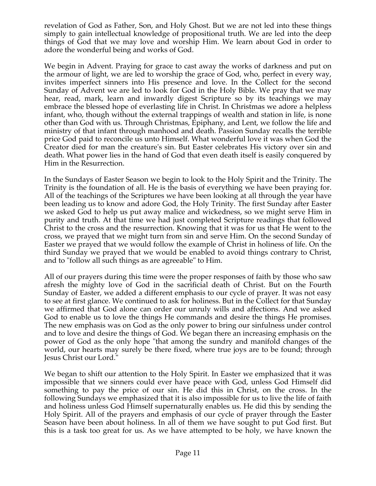revelation of God as Father, Son, and Holy Ghost. But we are not led into these things simply to gain intellectual knowledge of propositional truth. We are led into the deep things of God that we may love and worship Him. We learn about God in order to adore the wonderful being and works of God.

We begin in Advent. Praying for grace to cast away the works of darkness and put on the armour of light, we are led to worship the grace of God, who, perfect in every way, invites imperfect sinners into His presence and love. In the Collect for the second Sunday of Advent we are led to look for God in the Holy Bible. We pray that we may hear, read, mark, learn and inwardly digest Scripture so by its teachings we may embrace the blessed hope of everlasting life in Christ. In Christmas we adore a helpless infant, who, though without the external trappings of wealth and station in life, is none other than God with us. Through Christmas, Epiphany, and Lent, we follow the life and ministry of that infant through manhood and death. Passion Sunday recalls the terrible price God paid to reconcile us unto Himself. What wonderful love it was when God the Creator died for man the creature's sin. But Easter celebrates His victory over sin and death. What power lies in the hand of God that even death itself is easily conquered by Him in the Resurrection.

In the Sundays of Easter Season we begin to look to the Holy Spirit and the Trinity. The Trinity is the foundation of all. He is the basis of everything we have been praying for. All of the teachings of the Scriptures we have been looking at all through the year have been leading us to know and adore God, the Holy Trinity. The first Sunday after Easter we asked God to help us put away malice and wickedness, so we might serve Him in purity and truth. At that time we had just completed Scripture readings that followed Christ to the cross and the resurrection. Knowing that it was for us that He went to the cross, we prayed that we might turn from sin and serve Him. On the second Sunday of Easter we prayed that we would follow the example of Christ in holiness of life. On the third Sunday we prayed that we would be enabled to avoid things contrary to Christ, and to "follow all such things as are agreeable" to Him.

All of our prayers during this time were the proper responses of faith by those who saw afresh the mighty love of God in the sacrificial death of Christ. But on the Fourth Sunday of Easter, we added a different emphasis to our cycle of prayer. It was not easy to see at first glance. We continued to ask for holiness. But in the Collect for that Sunday we affirmed that God alone can order our unruly wills and affections. And we asked God to enable us to love the things He commands and desire the things He promises. The new emphasis was on God as the only power to bring our sinfulness under control and to love and desire the things of God. We began there an increasing emphasis on the power of God as the only hope "that among the sundry and manifold changes of the world, our hearts may surely be there fixed, where true joys are to be found; through Jesus Christ our Lord."

We began to shift our attention to the Holy Spirit. In Easter we emphasized that it was impossible that we sinners could ever have peace with God, unless God Himself did something to pay the price of our sin. He did this in Christ, on the cross. In the following Sundays we emphasized that it is also impossible for us to live the life of faith and holiness unless God Himself supernaturally enables us. He did this by sending the Holy Spirit. All of the prayers and emphasis of our cycle of prayer through the Easter Season have been about holiness. In all of them we have sought to put God first. But this is a task too great for us. As we have attempted to be holy, we have known the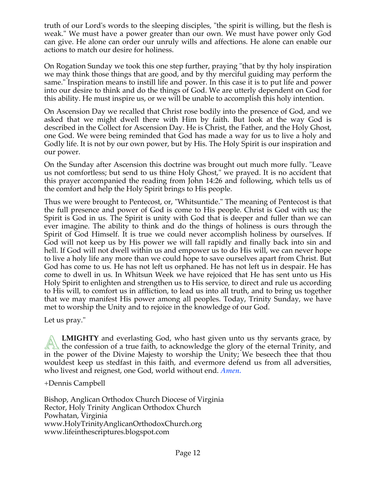truth of our Lord's words to the sleeping disciples, "the spirit is willing, but the flesh is weak." We must have a power greater than our own. We must have power only God can give. He alone can order our unruly wills and affections. He alone can enable our actions to match our desire for holiness.

On Rogation Sunday we took this one step further, praying "that by thy holy inspiration we may think those things that are good, and by thy merciful guiding may perform the same." Inspiration means to instill life and power. In this case it is to put life and power into our desire to think and do the things of God. We are utterly dependent on God for this ability. He must inspire us, or we will be unable to accomplish this holy intention.

On Ascension Day we recalled that Christ rose bodily into the presence of God, and we asked that we might dwell there with Him by faith. But look at the way God is described in the Collect for Ascension Day. He is Christ, the Father, and the Holy Ghost, one God. We were being reminded that God has made a way for us to live a holy and Godly life. It is not by our own power, but by His. The Holy Spirit is our inspiration and our power.

On the Sunday after Ascension this doctrine was brought out much more fully. "Leave us not comfortless; but send to us thine Holy Ghost," we prayed. It is no accident that this prayer accompanied the reading from John 14:26 and following, which tells us of the comfort and help the Holy Spirit brings to His people.

Thus we were brought to Pentecost, or, "Whitsuntide." The meaning of Pentecost is that the full presence and power of God is come to His people. Christ is God with us; the Spirit is God in us. The Spirit is unity with God that is deeper and fuller than we can ever imagine. The ability to think and do the things of holiness is ours through the Spirit of God Himself. It is true we could never accomplish holiness by ourselves. If God will not keep us by His power we will fall rapidly and finally back into sin and hell. If God will not dwell within us and empower us to do His will, we can never hope to live a holy life any more than we could hope to save ourselves apart from Christ. But God has come to us. He has not left us orphaned. He has not left us in despair. He has come to dwell in us. In Whitsun Week we have rejoiced that He has sent unto us His Holy Spirit to enlighten and strengthen us to His service, to direct and rule us according to His will, to comfort us in affliction, to lead us into all truth, and to bring us together that we may manifest His power among all peoples. Today, Trinity Sunday, we have met to worship the Unity and to rejoice in the knowledge of our God.

Let us pray."

**LMIGHTY** and everlasting God, who hast given unto us thy servants grace, by **EMIGHTY** and everlasting God, who hast given unto us thy servants grace, by the confession of a true faith, to acknowledge the glory of the eternal Trinity, and in the power of the Divine Majesty to worship the Unity; We beseech thee that thou wouldest keep us stedfast in this faith, and evermore defend us from all adversities, who livest and reignest, one God, world without end. *Amen.*

+Dennis Campbell

Bishop, Anglican Orthodox Church Diocese of Virginia Rector, Holy Trinity Anglican Orthodox Church Powhatan, Virginia www.HolyTrinityAnglicanOrthodoxChurch.org www.lifeinthescriptures.blogspot.com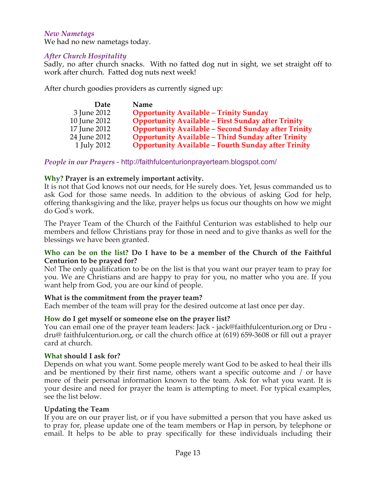### *New Nametags*

We had no new nametags today.

### *After Church Hospitality*

Sadly, no after church snacks. With no fatted dog nut in sight, we set straight off to work after church. Fatted dog nuts next week!

After church goodies providers as currently signed up:

| Date         | Name                                                       |
|--------------|------------------------------------------------------------|
| 3 June 2012  | <b>Opportunity Available - Trinity Sunday</b>              |
| 10 June 2012 | <b>Opportunity Available - First Sunday after Trinity</b>  |
| 17 June 2012 | <b>Opportunity Available - Second Sunday after Trinity</b> |
| 24 June 2012 | <b>Opportunity Available - Third Sunday after Trinity</b>  |
| 1 July 2012  | <b>Opportunity Available - Fourth Sunday after Trinity</b> |

*People in our Prayers* - http://faithfulcenturionprayerteam.blogspot.com/

### **Why? Prayer is an extremely important activity.**

It is not that God knows not our needs, for He surely does. Yet, Jesus commanded us to ask God for those same needs. In addition to the obvious of asking God for help, offering thanksgiving and the like, prayer helps us focus our thoughts on how we might do God's work.

The Prayer Team of the Church of the Faithful Centurion was established to help our members and fellow Christians pray for those in need and to give thanks as well for the blessings we have been granted.

### **Who can be on the list? Do I have to be a member of the Church of the Faithful Centurion to be prayed for?**

No! The only qualification to be on the list is that you want our prayer team to pray for you. We are Christians and are happy to pray for you, no matter who you are. If you want help from God, you are our kind of people.

#### **What is the commitment from the prayer team?**

Each member of the team will pray for the desired outcome at last once per day.

#### **How do I get myself or someone else on the prayer list?**

You can email one of the prayer team leaders: Jack - jack@faithfulcenturion.org or Dru dru@ faithfulcenturion.org, or call the church office at (619) 659-3608 or fill out a prayer card at church.

#### **What should I ask for?**

Depends on what you want. Some people merely want God to be asked to heal their ills and be mentioned by their first name, others want a specific outcome and / or have more of their personal information known to the team. Ask for what you want. It is your desire and need for prayer the team is attempting to meet. For typical examples, see the list below.

#### **Updating the Team**

If you are on our prayer list, or if you have submitted a person that you have asked us to pray for, please update one of the team members or Hap in person, by telephone or email. It helps to be able to pray specifically for these individuals including their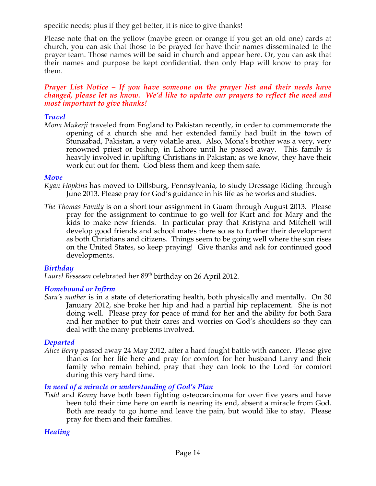specific needs; plus if they get better, it is nice to give thanks!

Please note that on the yellow (maybe green or orange if you get an old one) cards at church, you can ask that those to be prayed for have their names disseminated to the prayer team. Those names will be said in church and appear here. Or, you can ask that their names and purpose be kept confidential, then only Hap will know to pray for them.

### *Prayer List Notice – If you have someone on the prayer list and their needs have changed, please let us know. We'd like to update our prayers to reflect the need and most important to give thanks!*

## *Travel*

*Mona Mukerji* traveled from England to Pakistan recently, in order to commemorate the opening of a church she and her extended family had built in the town of Stunzabad, Pakistan, a very volatile area. Also, Mona's brother was a very, very renowned priest or bishop, in Lahore until he passed away. This family is heavily involved in uplifting Christians in Pakistan; as we know, they have their work cut out for them. God bless them and keep them safe.

## *Move*

- *Ryan Hopkins* has moved to Dillsburg, Pennsylvania, to study Dressage Riding through June 2013. Please pray for God's guidance in his life as he works and studies.
- *The Thomas Family* is on a short tour assignment in Guam through August 2013. Please pray for the assignment to continue to go well for Kurt and for Mary and the kids to make new friends. In particular pray that Kristyna and Mitchell will develop good friends and school mates there so as to further their development as both Christians and citizens. Things seem to be going well where the sun rises on the United States, so keep praying! Give thanks and ask for continued good developments.

## *Birthday*

Laurel Bessesen celebrated her 89<sup>th</sup> birthday on 26 April 2012.

## *Homebound or Infirm*

*Sara's mother* is in a state of deteriorating health, both physically and mentally. On 30 January 2012, she broke her hip and had a partial hip replacement. She is not doing well. Please pray for peace of mind for her and the ability for both Sara and her mother to put their cares and worries on God's shoulders so they can deal with the many problems involved.

## *Departed*

*Alice Berry* passed away 24 May 2012, after a hard fought battle with cancer. Please give thanks for her life here and pray for comfort for her husband Larry and their family who remain behind, pray that they can look to the Lord for comfort during this very hard time.

## *In need of a miracle or understanding of God's Plan*

*Todd* and *Kenny* have both been fighting osteocarcinoma for over five years and have been told their time here on earth is nearing its end, absent a miracle from God. Both are ready to go home and leave the pain, but would like to stay. Please pray for them and their families.

# *Healing*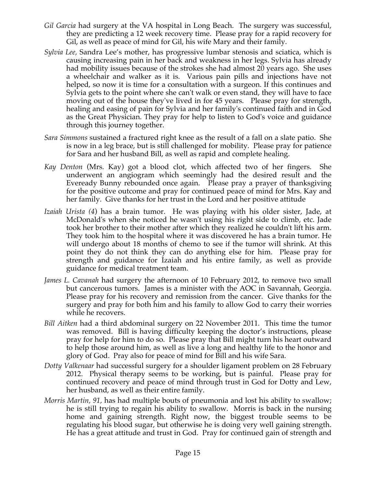- *Gil Garcia* had surgery at the VA hospital in Long Beach. The surgery was successful, they are predicting a 12 week recovery time. Please pray for a rapid recovery for Gil, as well as peace of mind for Gil, his wife Mary and their family.
- *Sylvia Lee,* Sandra Lee's mother, has progressive lumbar stenosis and sciatica, which is causing increasing pain in her back and weakness in her legs. Sylvia has already had mobility issues because of the strokes she had almost 20 years ago. She uses a wheelchair and walker as it is. Various pain pills and injections have not helped, so now it is time for a consultation with a surgeon. If this continues and Sylvia gets to the point where she can't walk or even stand, they will have to face moving out of the house they've lived in for 45 years. Please pray for strength, healing and easing of pain for Sylvia and her family's continued faith and in God as the Great Physician. They pray for help to listen to God's voice and guidance through this journey together.
- *Sara Simmons* sustained a fractured right knee as the result of a fall on a slate patio. She is now in a leg brace, but is still challenged for mobility. Please pray for patience for Sara and her husband Bill, as well as rapid and complete healing.
- *Kay Denton* (Mrs. Kay) got a blood clot, which affected two of her fingers. She underwent an angiogram which seemingly had the desired result and the Eveready Bunny rebounded once again. Please pray a prayer of thanksgiving for the positive outcome and pray for continued peace of mind for Mrs. Kay and her family. Give thanks for her trust in the Lord and her positive attitude.
- *Izaiah Urista (4*) has a brain tumor. He was playing with his older sister, Jade, at McDonald's when she noticed he wasn't using his right side to climb, etc. Jade took her brother to their mother after which they realized he couldn't lift his arm. They took him to the hospital where it was discovered he has a brain tumor. He will undergo about 18 months of chemo to see if the tumor will shrink. At this point they do not think they can do anything else for him. Please pray for strength and guidance for Izaiah and his entire family, as well as provide guidance for medical treatment team.
- *James L. Cavanah* had surgery the afternoon of 10 February 2012, to remove two small but cancerous tumors. James is a minister with the AOC in Savannah, Georgia. Please pray for his recovery and remission from the cancer. Give thanks for the surgery and pray for both him and his family to allow God to carry their worries while he recovers.
- *Bill Aitken* had a third abdominal surgery on 22 November 2011. This time the tumor was removed. Bill is having difficulty keeping the doctor's instructions, please pray for help for him to do so. Please pray that Bill might turn his heart outward to help those around him, as well as live a long and healthy life to the honor and glory of God. Pray also for peace of mind for Bill and his wife Sara.
- *Dotty Valkenaar* had successful surgery for a shoulder ligament problem on 28 February 2012. Physical therapy seems to be working, but is painful. Please pray for continued recovery and peace of mind through trust in God for Dotty and Lew, her husband, as well as their entire family.
- *Morris Martin, 91,* has had multiple bouts of pneumonia and lost his ability to swallow; he is still trying to regain his ability to swallow. Morris is back in the nursing home and gaining strength. Right now, the biggest trouble seems to be regulating his blood sugar, but otherwise he is doing very well gaining strength. He has a great attitude and trust in God. Pray for continued gain of strength and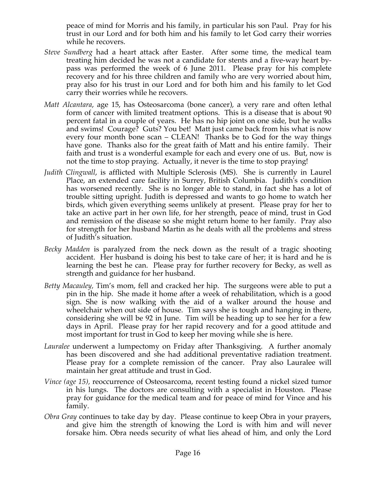peace of mind for Morris and his family, in particular his son Paul. Pray for his trust in our Lord and for both him and his family to let God carry their worries while he recovers.

- *Steve Sundberg* had a heart attack after Easter. After some time, the medical team treating him decided he was not a candidate for stents and a five-way heart bypass was performed the week of 6 June 2011. Please pray for his complete recovery and for his three children and family who are very worried about him, pray also for his trust in our Lord and for both him and his family to let God carry their worries while he recovers.
- *Matt Alcantara*, age 15, has Osteosarcoma (bone cancer), a very rare and often lethal form of cancer with limited treatment options. This is a disease that is about 90 percent fatal in a couple of years. He has no hip joint on one side, but he walks and swims! Courage? Guts? You bet! Matt just came back from his what is now every four month bone scan – CLEAN! Thanks be to God for the way things have gone. Thanks also for the great faith of Matt and his entire family. Their faith and trust is a wonderful example for each and every one of us. But, now is not the time to stop praying. Actually, it never is the time to stop praying!
- *Judith Clingwall*, is afflicted with Multiple Sclerosis (MS). She is currently in Laurel Place, an extended care facility in Surrey, British Columbia. Judith's condition has worsened recently. She is no longer able to stand, in fact she has a lot of trouble sitting upright. Judith is depressed and wants to go home to watch her birds, which given everything seems unlikely at present. Please pray for her to take an active part in her own life, for her strength, peace of mind, trust in God and remission of the disease so she might return home to her family. Pray also for strength for her husband Martin as he deals with all the problems and stress of Judith's situation.
- *Becky Madden* is paralyzed from the neck down as the result of a tragic shooting accident. Her husband is doing his best to take care of her; it is hard and he is learning the best he can. Please pray for further recovery for Becky, as well as strength and guidance for her husband.
- *Betty Macauley,* Tim's mom, fell and cracked her hip. The surgeons were able to put a pin in the hip. She made it home after a week of rehabilitation, which is a good sign. She is now walking with the aid of a walker around the house and wheelchair when out side of house. Tim says she is tough and hanging in there, considering she will be 92 in June. Tim will be heading up to see her for a few days in April. Please pray for her rapid recovery and for a good attitude and most important for trust in God to keep her moving while she is here.
- *Lauralee* underwent a lumpectomy on Friday after Thanksgiving. A further anomaly has been discovered and she had additional preventative radiation treatment. Please pray for a complete remission of the cancer. Pray also Lauralee will maintain her great attitude and trust in God.
- *Vince (age 15),* reoccurrence of Osteosarcoma, recent testing found a nickel sized tumor in his lungs. The doctors are consulting with a specialist in Houston. Please pray for guidance for the medical team and for peace of mind for Vince and his family.
- *Obra Gray* continues to take day by day. Please continue to keep Obra in your prayers, and give him the strength of knowing the Lord is with him and will never forsake him. Obra needs security of what lies ahead of him, and only the Lord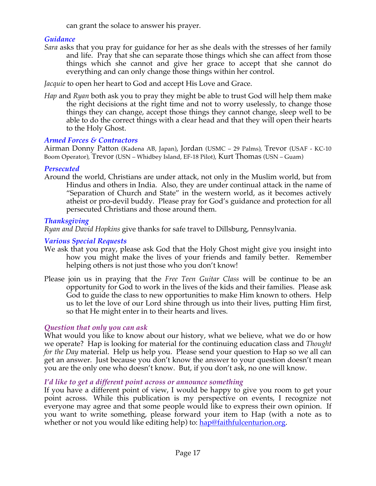can grant the solace to answer his prayer.

# *Guidance*

*Sara* asks that you pray for guidance for her as she deals with the stresses of her family and life. Pray that she can separate those things which she can affect from those things which she cannot and give her grace to accept that she cannot do everything and can only change those things within her control.

*Jacquie* to open her heart to God and accept His Love and Grace.

*Hap* and *Ryan* both ask you to pray they might be able to trust God will help them make the right decisions at the right time and not to worry uselessly, to change those things they can change, accept those things they cannot change, sleep well to be able to do the correct things with a clear head and that they will open their hearts to the Holy Ghost.

# *Armed Forces & Contractors*

Airman Donny Patton (Kadena AB, Japan), Jordan (USMC – 29 Palms), Trevor (USAF - KC-10 Boom Operator), Trevor (USN – Whidbey Island, EF-18 Pilot), Kurt Thomas (USN – Guam)

## *Persecuted*

Around the world, Christians are under attack, not only in the Muslim world, but from Hindus and others in India. Also, they are under continual attack in the name of "Separation of Church and State" in the western world, as it becomes actively atheist or pro-devil buddy. Please pray for God's guidance and protection for all persecuted Christians and those around them.

## *Thanksgiving*

*Ryan and David Hopkins* give thanks for safe travel to Dillsburg, Pennsylvania.

# *Various Special Requests*

- We ask that you pray, please ask God that the Holy Ghost might give you insight into how you might make the lives of your friends and family better. Remember helping others is not just those who you don't know!
- Please join us in praying that the *Free Teen Guitar Class* will be continue to be an opportunity for God to work in the lives of the kids and their families. Please ask God to guide the class to new opportunities to make Him known to others. Help us to let the love of our Lord shine through us into their lives, putting Him first, so that He might enter in to their hearts and lives.

# *Question that only you can ask*

What would you like to know about our history, what we believe, what we do or how we operate? Hap is looking for material for the continuing education class and *Thought for the Day* material. Help us help you. Please send your question to Hap so we all can get an answer. Just because you don't know the answer to your question doesn't mean you are the only one who doesn't know. But, if you don't ask, no one will know.

# *I'd like to get a different point across or announce something*

If you have a different point of view, I would be happy to give you room to get your point across. While this publication is my perspective on events, I recognize not everyone may agree and that some people would like to express their own opinion. If you want to write something, please forward your item to Hap (with a note as to whether or not you would like editing help) to: hap@faithfulcenturion.org.